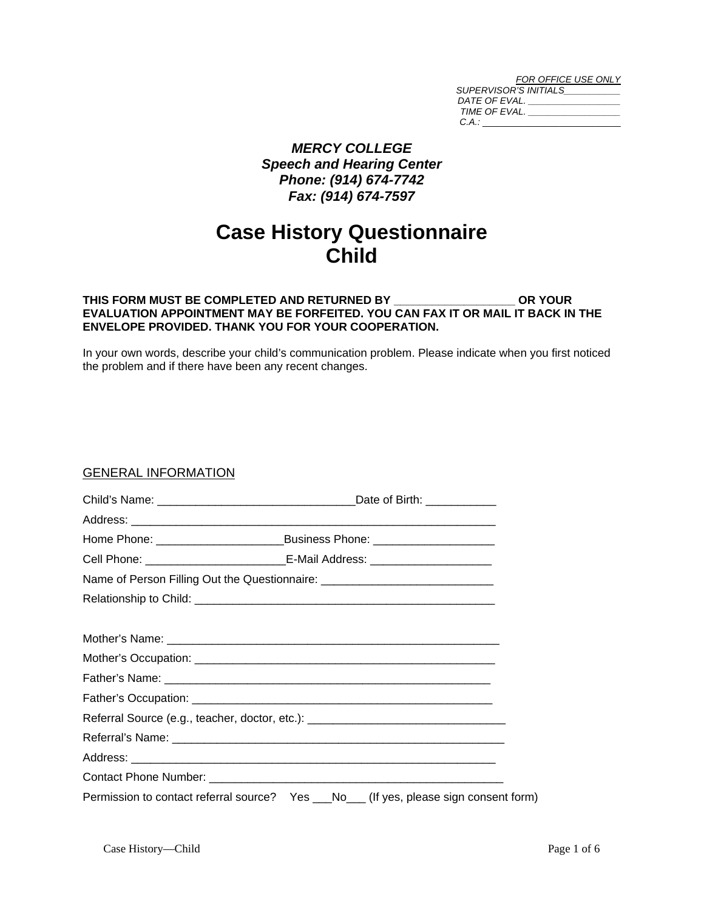| FOR OFFICE USE ONLY          |
|------------------------------|
| <b>SUPERVISOR'S INITIALS</b> |
| DATE OF EVAL.                |
| TIME OF EVAL.                |
| C.A.:                        |

## *MERCY COLLEGE Speech and Hearing Center Phone: (914) 674-7742 Fax: (914) 674-7597*

# **Case History Questionnaire Child**

#### **THIS FORM MUST BE COMPLETED AND RETURNED BY \_\_\_\_\_\_\_\_\_\_\_\_\_\_\_\_\_\_\_ OR YOUR EVALUATION APPOINTMENT MAY BE FORFEITED. YOU CAN FAX IT OR MAIL IT BACK IN THE ENVELOPE PROVIDED. THANK YOU FOR YOUR COOPERATION.**

In your own words, describe your child's communication problem. Please indicate when you first noticed the problem and if there have been any recent changes.

#### GENERAL INFORMATION

| Cell Phone: _________________________________E-Mail Address: ___________________    |
|-------------------------------------------------------------------------------------|
| Name of Person Filling Out the Questionnaire: __________________________________    |
|                                                                                     |
|                                                                                     |
|                                                                                     |
|                                                                                     |
|                                                                                     |
|                                                                                     |
| Referral Source (e.g., teacher, doctor, etc.): _________________________________    |
|                                                                                     |
|                                                                                     |
|                                                                                     |
| Permission to contact referral source? Yes __No__(If yes, please sign consent form) |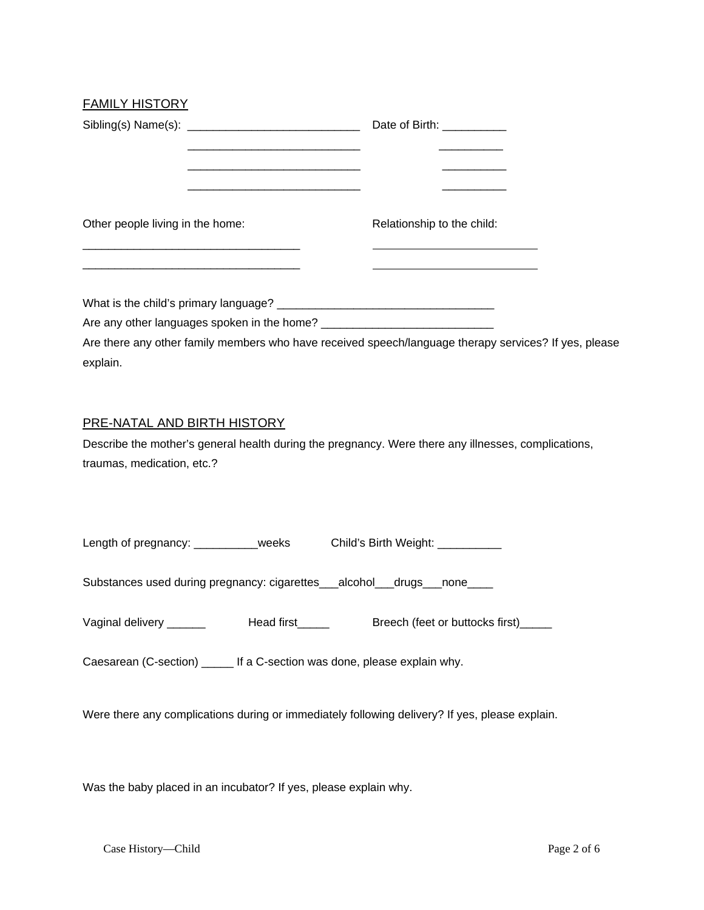## FAMILY HISTORY

| Other people living in the home: | Relationship to the child:                                                                            |
|----------------------------------|-------------------------------------------------------------------------------------------------------|
|                                  | <u> 1989 - Johann Stein, mars an de Brazilian (b. 1989)</u>                                           |
| explain.                         | Are there any other family members who have received speech/language therapy services? If yes, please |
| PRE-NATAL AND BIRTH HISTORY      | Describe the mother's general health during the pregnancy. Were there any illnesses, complications,   |
| traumas, medication, etc.?       |                                                                                                       |

| Length of pregnancy: __________weeks                                                           |                                     | Child's Birth Weight: ___________ |                                 |
|------------------------------------------------------------------------------------------------|-------------------------------------|-----------------------------------|---------------------------------|
| Substances used during pregnancy: cigarettes___alcohol___drugs___none____                      |                                     |                                   |                                 |
| Vaginal delivery ______                                                                        | Head first <b>contact the State</b> |                                   | Breech (feet or buttocks first) |
| Caesarean (C-section) ______ If a C-section was done, please explain why.                      |                                     |                                   |                                 |
| Were there any complications during or immediately following delivery? If yes, please explain. |                                     |                                   |                                 |

Was the baby placed in an incubator? If yes, please explain why.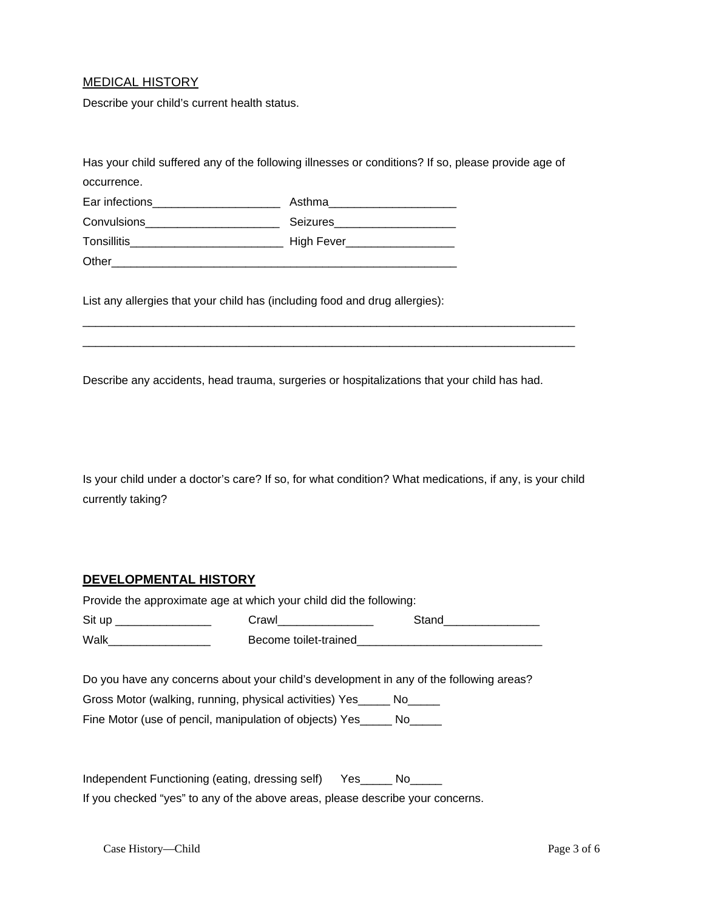## MEDICAL HISTORY

Describe your child's current health status.

|                                                                             | Has your child suffered any of the following illnesses or conditions? If so, please provide age of |
|-----------------------------------------------------------------------------|----------------------------------------------------------------------------------------------------|
| occurrence.                                                                 |                                                                                                    |
|                                                                             | Asthma________________________                                                                     |
| Convulsions _________________________                                       | Seizures_____________________                                                                      |
|                                                                             |                                                                                                    |
|                                                                             |                                                                                                    |
| List any allergies that your child has (including food and drug allergies): |                                                                                                    |
|                                                                             |                                                                                                    |

Describe any accidents, head trauma, surgeries or hospitalizations that your child has had.

Is your child under a doctor's care? If so, for what condition? What medications, if any, is your child currently taking?

#### **DEVELOPMENTAL HISTORY**

| Provide the approximate age at which your child did the following: |                       |       |  |
|--------------------------------------------------------------------|-----------------------|-------|--|
| Sit up                                                             | Crawl                 | Stand |  |
| Walk                                                               | Become toilet-trained |       |  |

Do you have any concerns about your child's development in any of the following areas? Gross Motor (walking, running, physical activities) Yes\_\_\_\_\_ No\_\_\_\_\_

Fine Motor (use of pencil, manipulation of objects) Yes\_\_\_\_\_ No\_\_\_\_\_

Independent Functioning (eating, dressing self) Yes\_\_\_\_\_ No\_\_\_\_\_ If you checked "yes" to any of the above areas, please describe your concerns.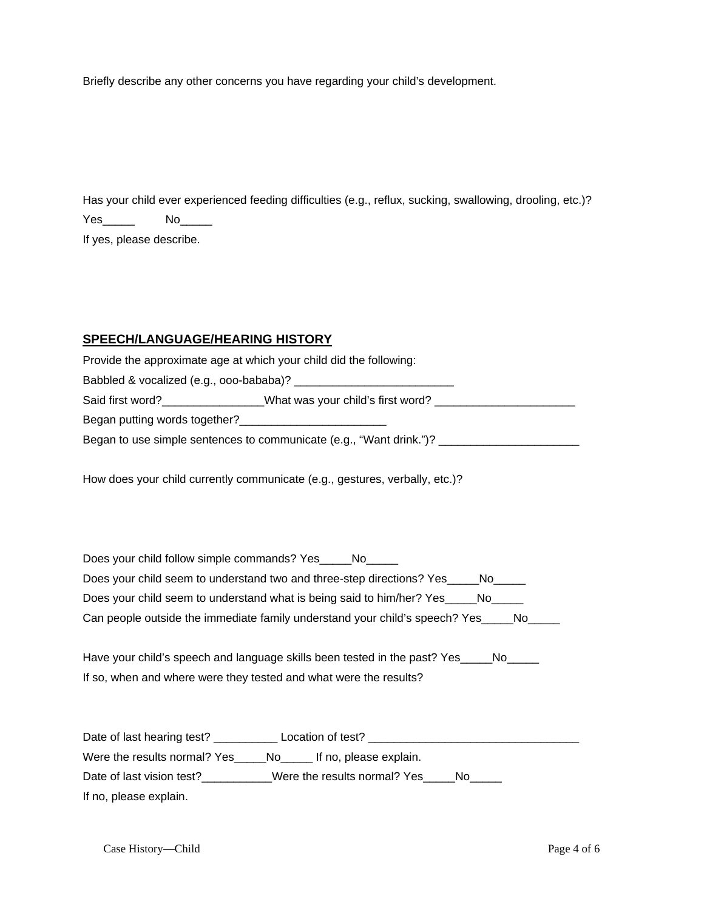Briefly describe any other concerns you have regarding your child's development.

Has your child ever experienced feeding difficulties (e.g., reflux, sucking, swallowing, drooling, etc.)? Yes\_\_\_\_\_ No\_\_\_\_\_

If yes, please describe.

## **SPEECH/LANGUAGE/HEARING HISTORY**

| Provide the approximate age at which your child did the following:                                                                                                                                                                             |                                                                                                      |
|------------------------------------------------------------------------------------------------------------------------------------------------------------------------------------------------------------------------------------------------|------------------------------------------------------------------------------------------------------|
|                                                                                                                                                                                                                                                |                                                                                                      |
|                                                                                                                                                                                                                                                | Said first word?_________________What was your child's first word? ______________                    |
| Began putting words together?<br><u>[</u> [11][12] Degan putting words together?<br>[12] Degan putting words to get her?<br>[22] Degan putting words to get her?<br>[22] Degan putting words to get her?<br>[22] Degan putting words to get he |                                                                                                      |
|                                                                                                                                                                                                                                                | Began to use simple sentences to communicate (e.g., "Want drink.")? ________________________________ |
|                                                                                                                                                                                                                                                |                                                                                                      |
|                                                                                                                                                                                                                                                | How does your child currently communicate (e.g., gestures, verbally, etc.)?                          |
|                                                                                                                                                                                                                                                |                                                                                                      |
|                                                                                                                                                                                                                                                |                                                                                                      |
|                                                                                                                                                                                                                                                |                                                                                                      |
| Does your child follow simple commands? Yes                                                                                                                                                                                                    | No.                                                                                                  |

Does your child seem to understand two and three-step directions? Yes\_\_\_\_No\_\_\_\_\_ Does your child seem to understand what is being said to him/her? Yes\_\_\_\_\_No\_\_\_\_\_ Can people outside the immediate family understand your child's speech? Yes\_\_\_\_No\_\_\_\_

Have your child's speech and language skills been tested in the past? Yes\_\_\_\_\_No\_\_\_\_\_ If so, when and where were they tested and what were the results?

Date of last hearing test? \_\_\_\_\_\_\_\_\_\_ Location of test? \_\_\_\_\_\_\_\_\_\_\_\_\_\_\_\_\_\_\_\_\_\_\_\_\_\_\_\_\_\_\_\_\_ Were the results normal? Yes\_\_\_\_\_No\_\_\_\_\_ If no, please explain. Date of last vision test?\_\_\_\_\_\_\_\_\_\_Were the results normal? Yes\_\_\_\_No\_\_\_\_\_ If no, please explain.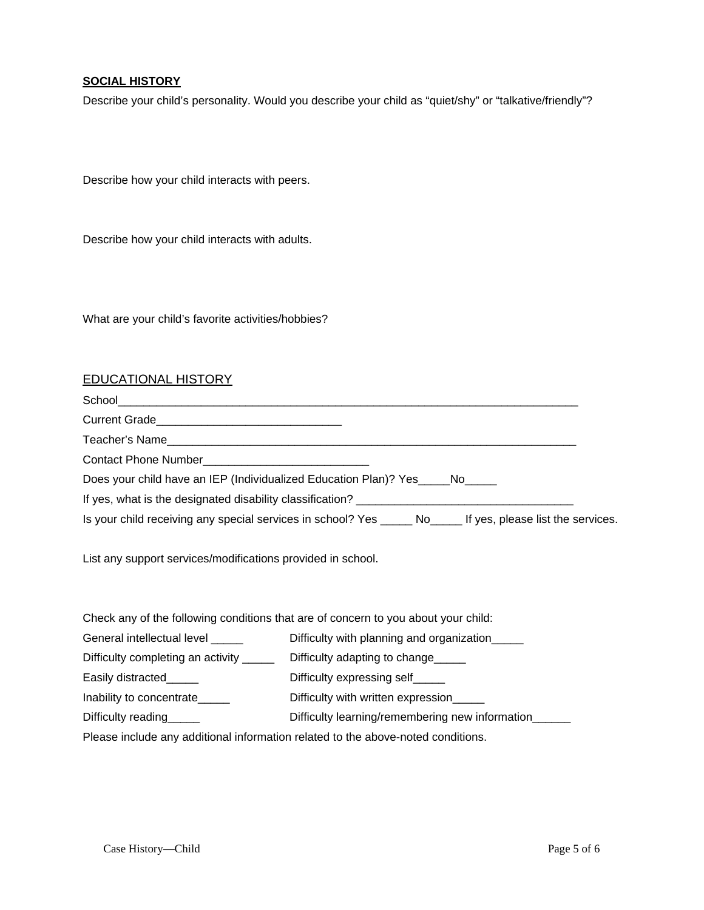### **SOCIAL HISTORY**

Describe your child's personality. Would you describe your child as "quiet/shy" or "talkative/friendly"?

Describe how your child interacts with peers.

Describe how your child interacts with adults.

What are your child's favorite activities/hobbies?

#### EDUCATIONAL HISTORY

| Teacher's Name                                                                                                  |  |
|-----------------------------------------------------------------------------------------------------------------|--|
|                                                                                                                 |  |
| Does your child have an IEP (Individualized Education Plan)? Yes _____ No _____                                 |  |
|                                                                                                                 |  |
| Is your child receiving any special services in school? Yes _______ No_______ If yes, please list the services. |  |

List any support services/modifications provided in school.

| Check any of the following conditions that are of concern to you about your child: |                                                 |  |
|------------------------------------------------------------------------------------|-------------------------------------------------|--|
| General intellectual level                                                         | Difficulty with planning and organization_____  |  |
| Difficulty completing an activity ______                                           | Difficulty adapting to change                   |  |
| Easily distracted_____                                                             | Difficulty expressing self_____                 |  |
| Inability to concentrate                                                           | Difficulty with written expression_____         |  |
| Difficulty reading                                                                 | Difficulty learning/remembering new information |  |
| Please include any additional information related to the above-noted conditions.   |                                                 |  |